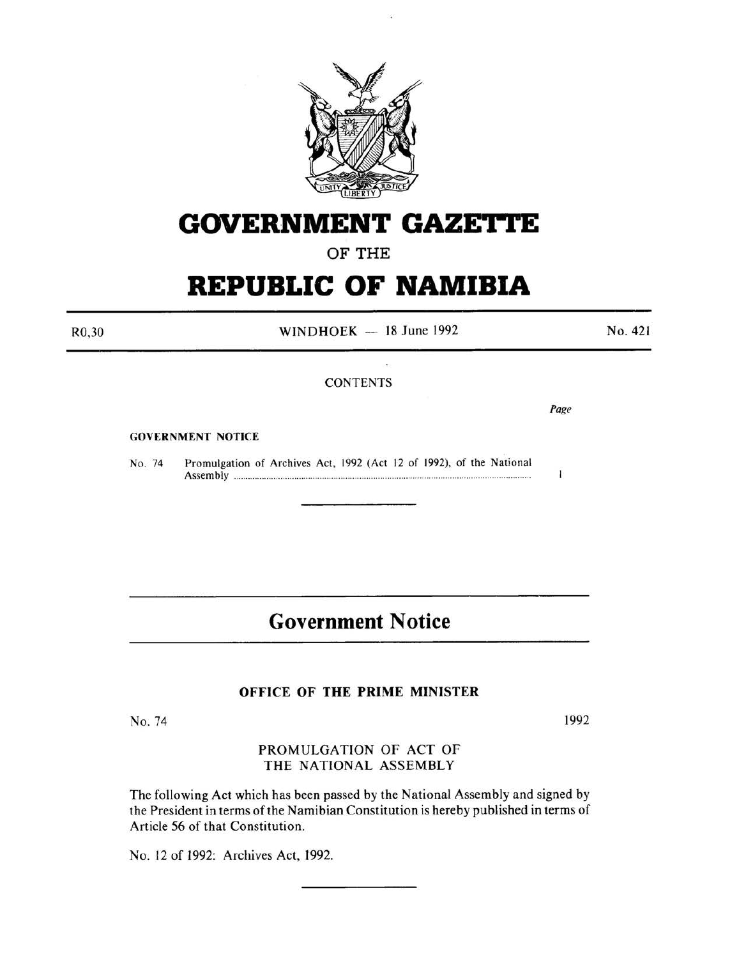

# **GOVERNMENT GAZETTE**

OF THE

## **REPUBLIC OF NAMIBIA**

R0,30

 $WINDHOEK - 18$  June 1992

No. 421

### **CONTENTS**

*Page* 

 $\mathbf{I}$ 

GOVERNMENT NOTICE

No. 74 Promulgation of Archives Act, 1992 (Act 12 of 1992), of the National Assembly ............................................................................................................................... .

## **Government Notice**

#### OFFICE OF THE PRIME MINISTER

No. 74

1992

PROMULGATION OF ACT OF THE NATIONAL ASSEMBLY

The following Act which has been passed by the National Assembly and signed by the President in terms of the Namibian Constitution is hereby published in terms of Article 56 of that Constitution.

No. 12 of 1992: Archives Act, 1992.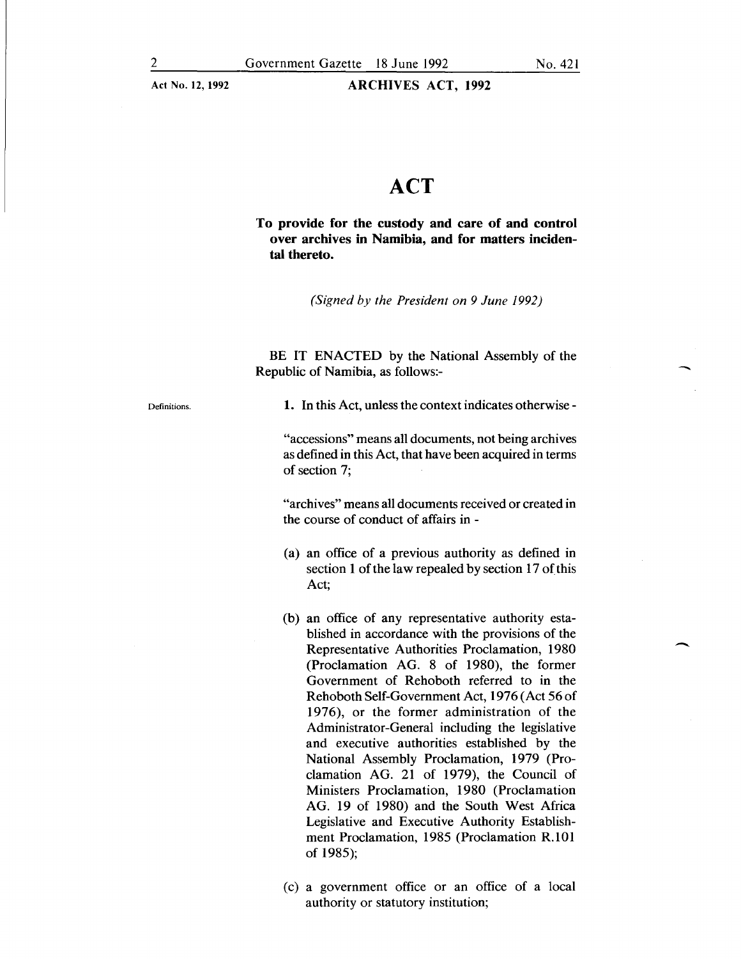-

 $\overline{\phantom{a}}$ 

ARCHIVES ACT, 1992

### **ACT**

To provide for the custody and care of and control over archives in Namibia, and for matters incidental thereto.

*(Signed by the President on 9 June 1992)* 

BE IT ENACTED by the National Assembly of the Republic of Namibia, as follows:-

Definitions.

1. In this Act, unless the context indicates otherwise -

"accessions" means all documents, not being archives as defined in this Act, that have been acquired in terms of section 7;

"archives" means all documents received or created in the course of conduct of affairs in -

- (a) an office of a previous authority as defined in section 1 of the law repealed by section 17 of this Act;
- (b) an office of any representative authority established in accordance with the provisions of the Representative Authorities Proclamation, 1980 (Proclamation AG. 8 of 1980), the former Government of Rehoboth referred to in the Rehoboth Self-Government Act, 1976 (Act 56 of 1976), or the former administration of the Administrator-General including the legislative and executive authorities established by the National Assembly Proclamation, 1979 (Proclamation AG. 21 of 1979), the Council of Ministers Proclamation, 1980 (Proclamation AG. 19 of 1980) and the South West Africa Legislative and Executive Authority Establishment Proclamation, 1985 (Proclamation R.101 of 1985);
- (c) a government office or an office of a local authority or statutory institution;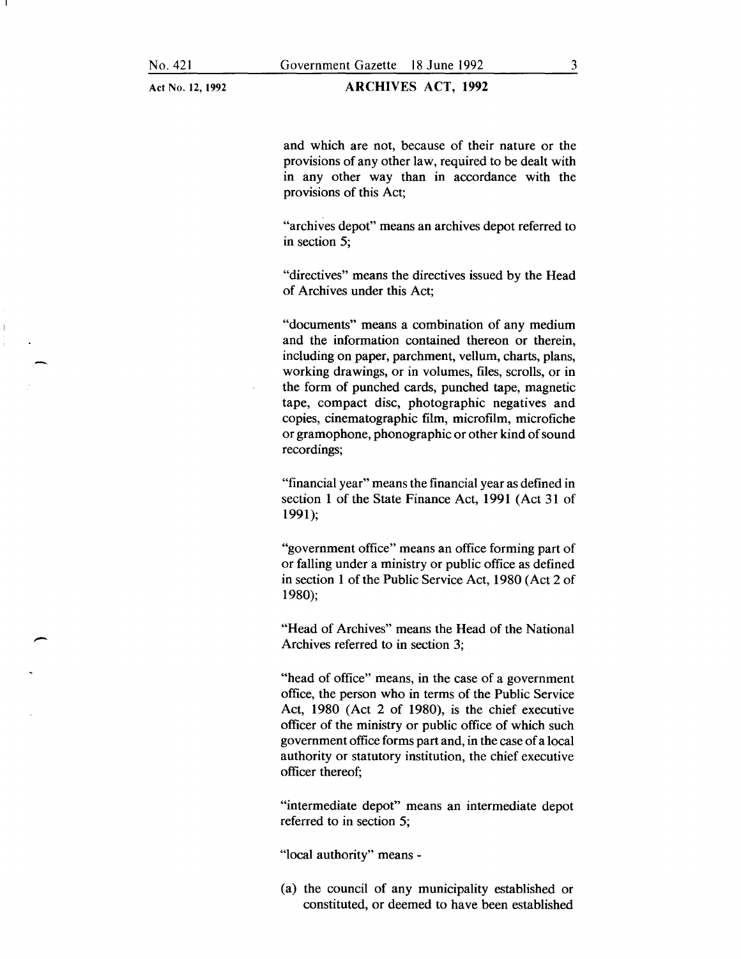-

Act No. 12, 1992

and which are not, because of their nature or the provisions of any other law, required to be dealt with in any other way than in accordance with the provisions of this Act;

"archives depot" means an archives depot referred to in section 5;

"directives" means the directives issued by the Head of Archives under this Act;

"documents" means a combination of any medium and the information contained thereon or therein, including on paper, parchment, vellum, charts, plans, working drawings, or in volumes, files, scrolls, or in the form of punched cards, punched tape, magnetic tape, compact disc, photographic negatives and copies, cinematographic film, microfilm, microfiche or gramophone, phonographic or other kind of sound recordings;

"financial year" means the financial year as defined in section 1 of the State Finance Act, 1991 (Act 31 of 1991);

"government office" means an office forming part of or falling under a ministry or public office as defined in section 1 of the Public Service Act, 1980 (Act 2 of 1980);

"Head of Archives" means the Head of the National Archives referred to in section 3;

"head of office" means, in the case of a government office, the person who in terms of the Public Service Act, 1980 (Act 2 of 1980), is the chief executive officer of the ministry or public office of which such government office forms part and, in the case of a local authority or statutory institution, the chief executive officer thereof;

"intermediate depot" means an intermediate depot referred to in section 5;

"local authority" means -

(a) the council of any municipality established or constituted, or deemed to have been established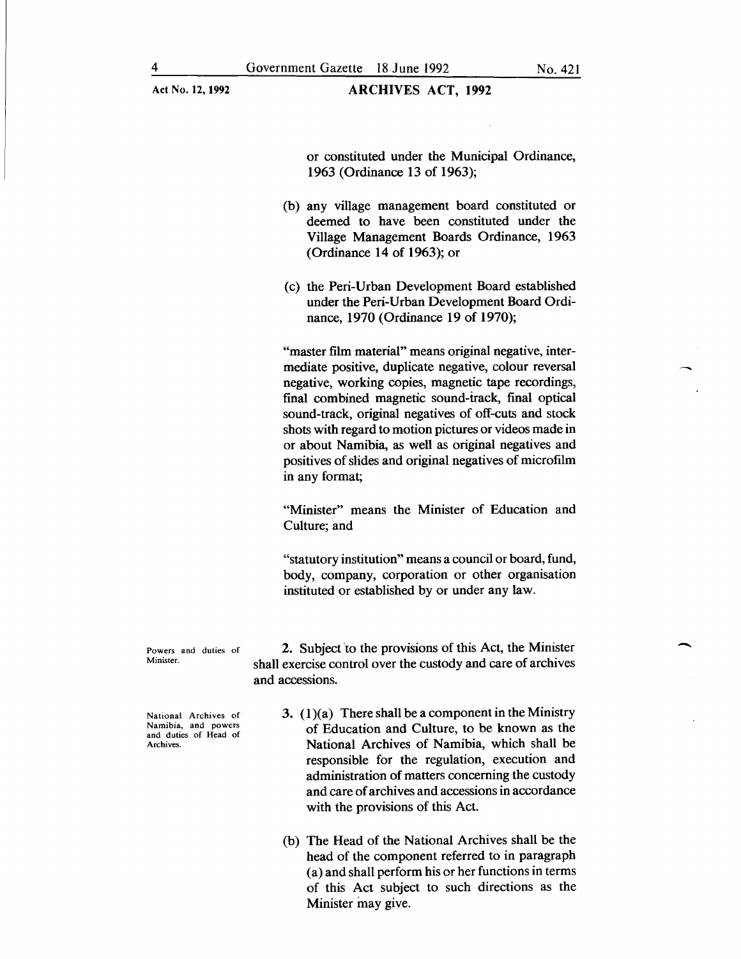or constituted under the Municipal Ordinance, 1963 (Ordinance 13 of 1963);

- (b) any village management board constituted or deemed to have been constituted under the Village Management Boards Ordinance, 1963 (Ordinance 14 of 1963); or
- (c) the Peri-Urban Development Board established under the Peri-Urban Development Board Ordinance, 1970 (Ordinance 19 of 1970);

"master film material" means original negative, intermediate positive, duplicate negative, colour reversal negative, working copies, magnetic tape recordings, final combined magnetic sound-track, final optical sound-track, original negatives of off-cuts and stock shots with regard to motion pictures or videos made in or about Namibia, as well as original negatives and positives of slides and original negatives of microfilm in any format;

"Minister" means the Minister of Education and Culture; and

"statutory institution" means a council or board, fund, body, company, corporation or other organisation instituted or established by or under any law.

Powers and duties of Minister.

2. Subject to the provisions of this Act, the Minister shall exercise control over the custody and care of archives and accessions.

National Archives of Namibia, and powers and duties of Head of Archives.

- 3.  $(1)(a)$  There shall be a component in the Ministry of Education and Culture, to be known as the National Archives of Namibia, which shall be responsible for the regulation, execution and administration of matters concerning the custody and care of archives and accessions in accordance with the provisions of this Act.
- (b) The Head of the National Archives shall be the head of the component referred to in paragraph (a) and shall perform his or her functions in terms of this Act subject to such directions as the Minister may give.

-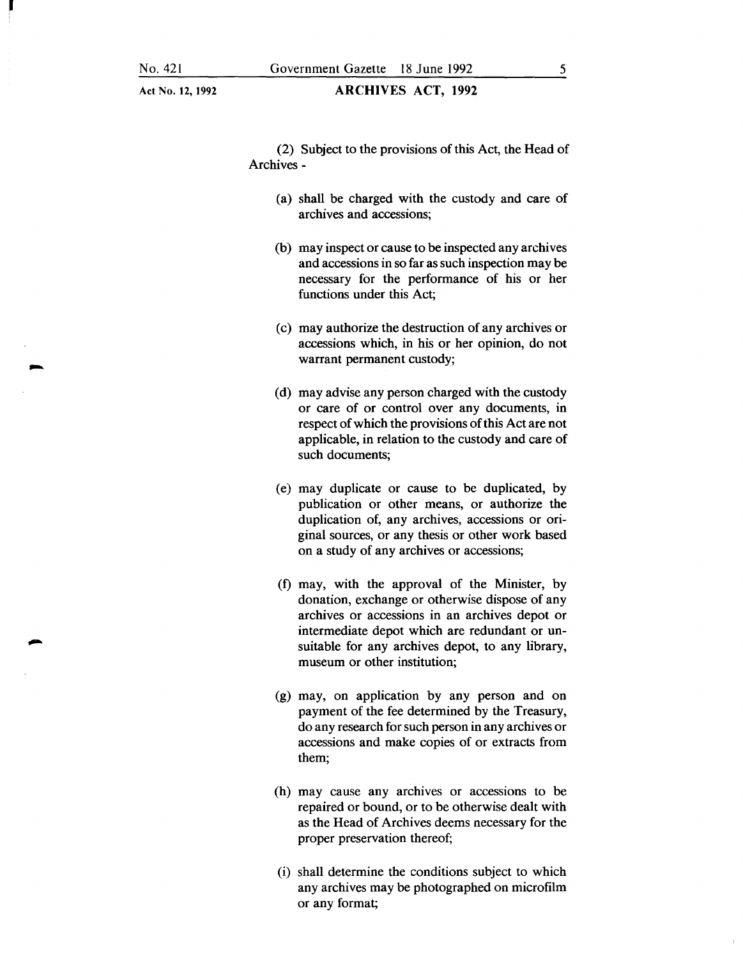।<br>स

Act No. 12, 1992

(2) Subject to the provisions of this Act, the Head of Archives-

- (a) shall be charged with the custody and care of archives and accessions;
- (b) may inspect or cause to be inspected any archives and accessions in so far as such inspection may be necessary for the performance of his or her functions under this Act;
- (c) may authorize the destruction of any archives or accessions which, in his or her opinion, do not warrant permanent custody;
- (d) may advise any person charged with the custody or care of or control over any documents, in respect of which the provisions of this Act are not applicable, in relation to the custody and care of such documents;
- (e) may duplicate or cause to be duplicated, by publication or other means, or authorize the duplication of, any archives, accessions or original sources, or any thesis or other work based on a study of any archives or accessions;
- (f) may, with the approval of the Minister, by donation, exchange or otherwise dispose of any archives or accessions in an archives depot or intermediate depot which are redundant or unsuitable for any archives depot, to any library, museum or other institution;
- (g) may, on application by any person and on payment of the fee determined by the Treasury, do any research for such person in any archives or accessions and make copies of or extracts from them;
- (h) may cause any archives or accessions to be repaired or bound, or to be otherwise dealt with as the Head of Archives deems necessary for the proper preservation thereof;
- (i) shall determine the conditions subject to which any archives may be photographed on microfilm or any format;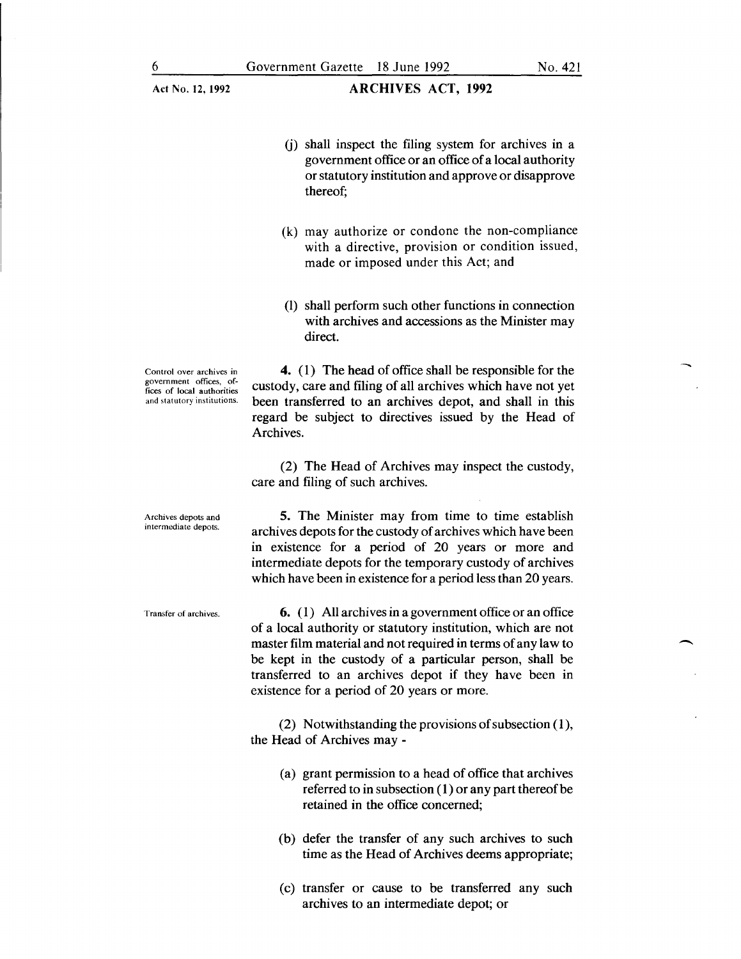- (j) shall inspect the filing system for archives in a government office or an office of a local authority or statutory institution and approve or disapprove thereof;
- (k) may authorize or condone the non-compliance with a directive, provision or condition issued, made or imposed under this Act; and
- (I) shall perform such other functions in connection with archives and accessions as the Minister may direct.

Control over archives in government offices. offices of local authorities and statutory institutions.

4. (1) The head of office shall be responsible for the custody, care and filing of all archives which have not yet been transferred to an archives depot, and shall in this regard be subject to directives issued by the Head of Archives.

(2) The Head of Archives may inspect the custody, care and filing of such archives.

5. The Minister may from time to time establish archives depots for the custody of archives which have been in existence for a period of 20 years or more and intermediate depots for the temporary custody of archives which have been in existence for a period less than 20 years.

Transfer of archives.

Archives depots and intermediate depots.

> 6. ( 1) All archives in a government office or an office of a local authority or statutory institution, which are not master film material and not required in terms of any law to be kept in the custody of a particular person, shall be transferred to an archives depot if they have been in existence for a period of 20 years or more.

> (2) Notwithstanding the provisions of subsection  $(1)$ , the Head of Archives may-

- (a) grant permission to a head of office that archives referred to in subsection (1) or any part thereof be retained in the office concerned;
- (b) defer the transfer of any such archives to such time as the Head of Archives deems appropriate;
- (c) transfer or cause to be transferred any such archives to an intermediate depot; or

-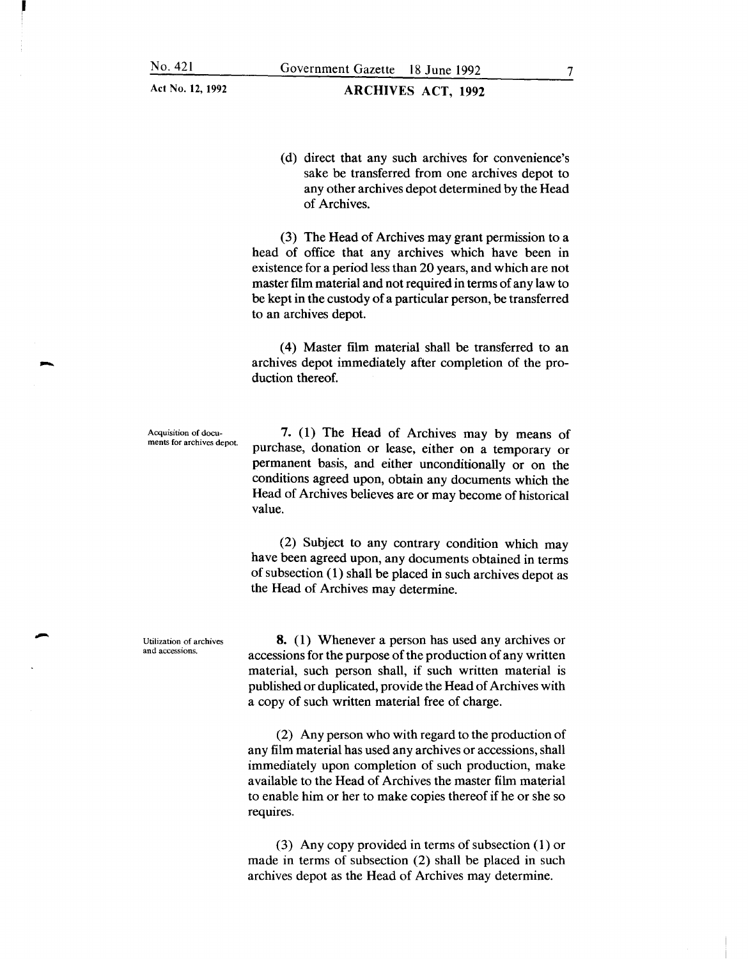(d) direct that any such archives for convenience's sake be transferred from one archives depot to any other archives depot determined by the Head of Archives.

(3) The Head of Archives may grant permission to a head of office that any archives which have been in existence for a period less than 20 years, and which are not master film material and not required in terms of any law to be kept in the custody of a particular person, be transferred to an archives depot.

( 4) Master film material shall be transferred to an archives depot immediately after completion of the production thereof.

Acquisition of documents for archives depot.

-

-

7. (1) The Head of Archives may by means of purchase, donation or lease, either on a temporary or permanent basis, and either unconditionally or on the conditions agreed upon, obtain any documents which the Head of Archives believes are or may become of historical value.

(2) Subject to any contrary condition which may have been agreed upon, any documents obtained in terms of subsection  $(1)$  shall be placed in such archives depot as the Head of Archives may determine.

Utilization of archives and accessions.

8. (1) Whenever a person has used any archives or accessions for the purpose of the production of any written material, such person shall, if such written material is published or duplicated, provide the Head of Archives with a copy of such written material free of charge.

(2) Any person who with regard to the production of any film material has used any archives or accessions, shall immediately upon completion of such production, make available to the Head of Archives the master film material to enable him or her to make copies thereof if he or she so requires.

(3) Any copy provided in terms of subsection (1) or made in terms of subsection (2) shall be placed in such archives depot as the Head of Archives may determine.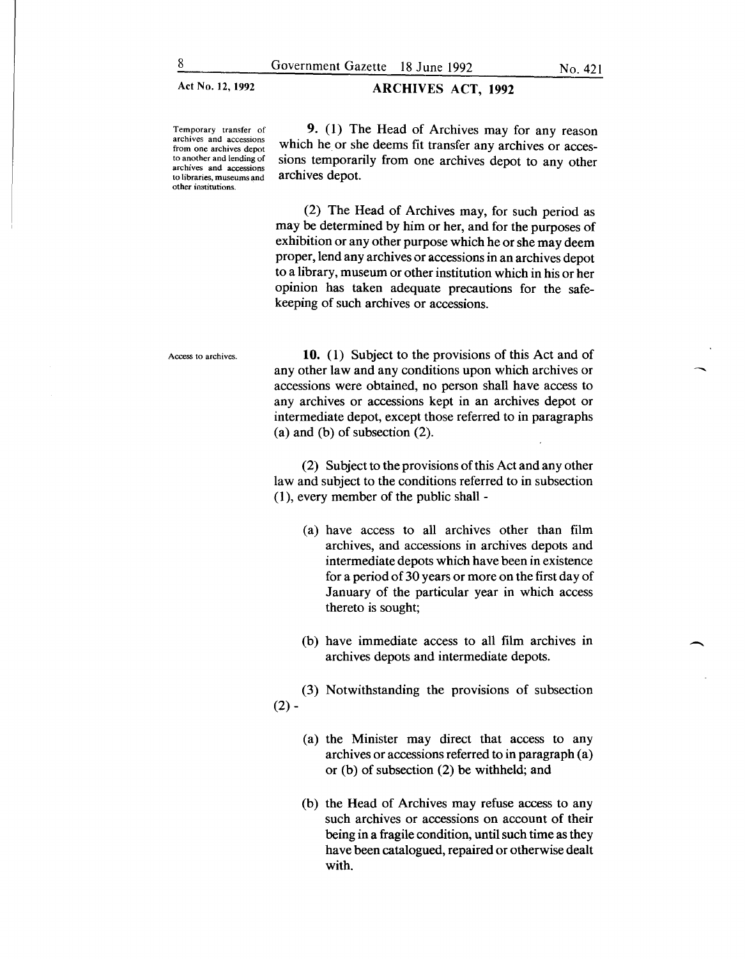#### Act No. 12, 1992 **ARCHIVES ACT, 1992**

Temporary transfer of archives **and** accessions from one archives depot to another and lending of archives and accessions to libraries, museums and other institutions.

9. (1) The Head of Archives may for any reason which he or she deems fit transfer any archives or accessions temporarily from one archives depot to any other archives depot.

(2) The Head of Archives may, for such period as may be determined by him or her, and for the purposes of exhibition or any other purpose which he or she may deem proper, lend any archives or accessions in an archives depot to a library, museum or other institution which in his or her opinion has taken adequate precautions for the safekeeping of such archives or accessions.

Access to archives.

**10.** (1) Subject to the provisions of this Act and of any other law and any conditions upon which archives or accessions were obtained, no person shall have access to any archives or accessions kept in an archives depot or intermediate depot, except those referred to in paragraphs (a) and (b) of subsection (2).

(2) Subject to the provisions of this Act and any other law and subject to the conditions referred to in subsection  $(1)$ , every member of the public shall -

- (a) have access to all archives other than film archives, and accessions in archives depots and intermediate depots which have been in existence for a period of 30 years or more on the first day of January of the particular year in which access thereto is sought;
- (b) have immediate access to all film archives in archives depots and intermediate depots.

(3) Notwithstanding the provisions of subsection  $(2) -$ 

- (a) the Minister may direct that access to any archives or accessions referred to in paragraph (a) or (b) of subsection (2) be withheld; and
- (b) the Head of Archives may refuse access to any such archives or accessions on account of their being in a fragile condition, until such time as they have been catalogued, repaired or otherwise dealt with.

-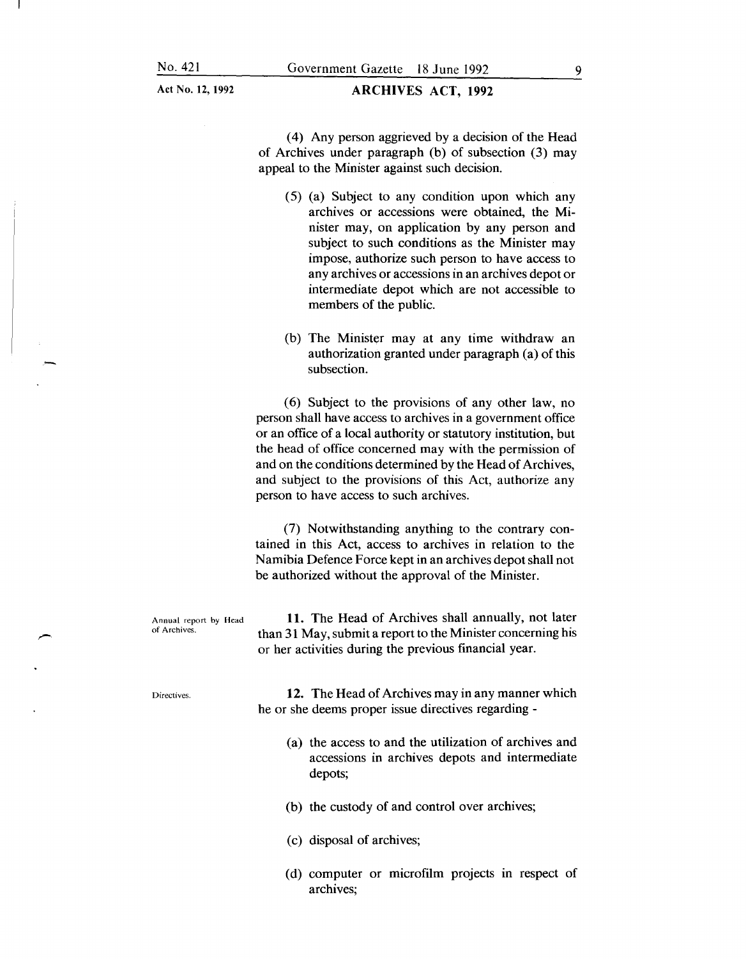#### ARCHIVES ACT, 1992

( 4) Any person aggrieved by a decision of the Head of Archives under paragraph (b) of subsection (3) may appeal to the Minister against such decision.

- (5) (a) Subject to any condition upon which any archives or accessions were obtained, the Minister may, on application by any person and subject to such conditions as the Minister may impose, authorize such person to have access to any archives or accessions in an archives depot or intermediate depot which are not accessible to members of the public.
- (b) The Minister may at any time withdraw an authorization granted under paragraph (a) of this subsection.

(6) Subject to the provisions of any other law, no person shall have access to archives in a government office or an office of a local authority or statutory institution, but the head of office concerned may with the permission of and on the conditions determined by the Head of Archives, and subject to the provisions of this Act, authorize any person to have access to such archives.

(7) Notwithstanding anything to the contrary contained in this Act, access to archives in relation to the Namibia Defence Force kept in an archives depot shall not be authorized without the approval of the Minister.

Annual report by Head of Archives. 11. The Head of Archives shall annually, not later than 31 May, submit a report to the Minister concerning his or her activities during the previous financial year.

Directives.

12. The Head of Archives may in any manner which he or she deems proper issue directives regarding -

- (a) the access to and the utilization of archives and accessions in archives depots and intermediate depots;
- (b) the custody of and control over archives;
- (c) disposal of archives;
- (d) computer or microfilm projects in respect of archives;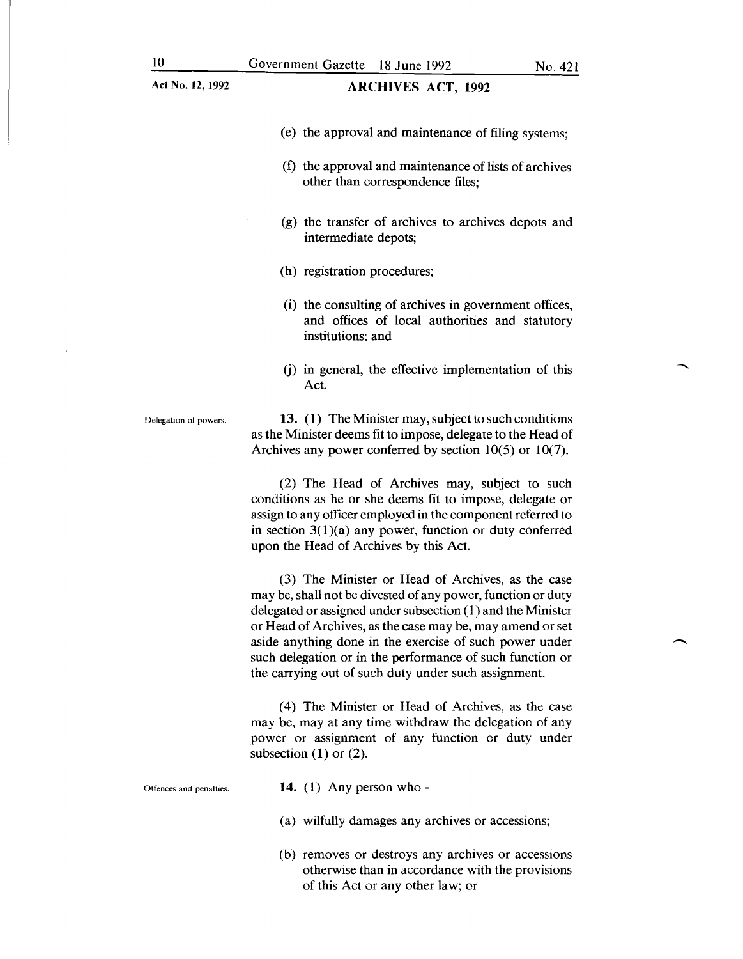#### Act No. 12, 1992 **ARCHIVES ACT, 1992**

 $\overline{\phantom{a}}$ 

- (e) the approval and maintenance of filing systems;
- (f) the approval and maintenance of lists of archives other than correspondence files;
- (g) the transfer of archives to archives depots and intermediate depots;
- (h) registration procedures;
- (i) the consulting of archives in government offices, and offices of local authorities and statutory institutions; and
- (j) in general, the effective implementation of this Act.

Delegation of powers.

13. (1) The Minister may, subject to such conditions as the Minister deems fit to impose, delegate to the Head of Archives any power conferred by section 10(5) or 10(7).

(2) The Head of Archives may, subject to such conditions as he or she deems fit to impose, delegate or assign to any officer employed in the component referred to in section  $3(1)(a)$  any power, function or duty conferred upon the Head of Archives by this Act.

(3) The Minister or Head of Archives, as the case may be, shall not be divested of any power, function or duty delegated or assigned under subsection ( 1) and the Minister or Head of Archives, as the case may be, may amend or set aside anything done in the exercise of such power under such delegation or in the performance of such function or the carrying out of such duty under such assignment.

( 4) The Minister or Head of Archives, as the case may be, may at any time withdraw the delegation of any power or assignment of any function or duty under subsection  $(1)$  or  $(2)$ .

Offences and penalties,

- 14.  $(1)$  Any person who -
- (a) wilfully damages any archives or accessions;
- (b) removes or destroys any archives or accessions otherwise than in accordance with the provisions of this Act or any other law; or